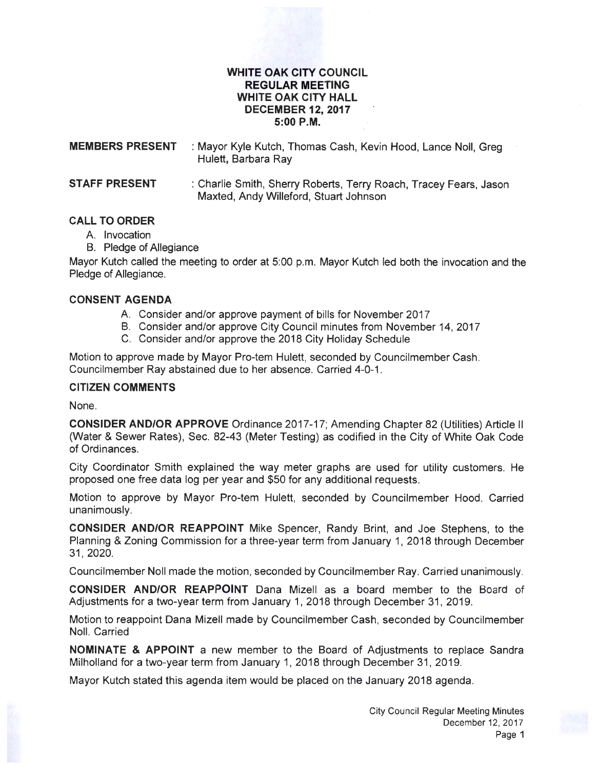#### **WHITE OAK CITY COUNCIL REGULAR MEETING WHITE OAK CITY HALL DECEMBER 12, 2017 5:00P.M.**

| <b>MEMBERS PRESENT</b> | : Mayor Kyle Kutch, Thomas Cash, Kevin Hood, Lance Noll, Greg<br>Hulett, Barbara Ray |
|------------------------|--------------------------------------------------------------------------------------|
| <b>STAFF PRESENT</b>   | : Charlie Smith, Sherry Roberts, Terry Roach, Tracey Fears, Jason                    |

Maxted, Andy Willeford, Stuart Johnson

# **CALL TO ORDER**

- A. Invocation
- B. Pledge of Allegiance

Mayor Kutch called the meeting to order at 5:00 p.m. Mayor Kutch led both the invocation and the Pledge of Allegiance.

#### **CONSENT AGENDA**

- A. Consider and/or approve payment of bills for November 2017
- B. Consider and/or approve City Council minutes from November 14, 2017
- C. Consider and/or approve the 2018 City Holiday Schedule

Motion to approve made by Mayor Pro-tem Hulett, seconded by Councilmember Cash. Councilmember Ray abstained due to her absence. Carried 4-0-1.

#### **CITIZEN COMMENTS**

None.

**CONSIDER AND/OR APPROVE** Ordinance 2017-17; Amending Chapter 82 (Utilities) Article II (Water & Sewer Rates), Sec. 82-43 (Meter Testing) as codified in the City of White Oak Code of Ordinances.

City Coordinator Smith explained the way meter graphs are used for utility customers. He proposed one free data log per year and \$50 for any additional requests.

Motion to approve by Mayor Pro-tem Hulett, seconded by Councilmember Hood. Carried unanimously.

**CONSIDER AND/OR REAPPOINT** Mike Spencer, Randy Brint, and Joe Stephens, to the Planning & Zoning Commission for a three-year term from January 1, 2018 through December 31, 2020.

Councilmember Noll made the motion, seconded by Councilmember Ray. Carried unanimously.

**CONSIDER AND/OR REAPPOINT** Dana Mizell as a board member to the Board of Adjustments for a two-year term from January 1, 2018 through December 31 , 2019.

Motion to reappoint Dana Mizell made by Councilmember Cash, seconded by Councilmember Noll. Carried

**NOMINATE & APPOINT** a new member to the Board of Adjustments to replace Sandra Milholland for a two-year term from January 1, 2018 through December 31, 2019.

Mayor Kutch stated this agenda item would be placed on the January 2018 agenda.